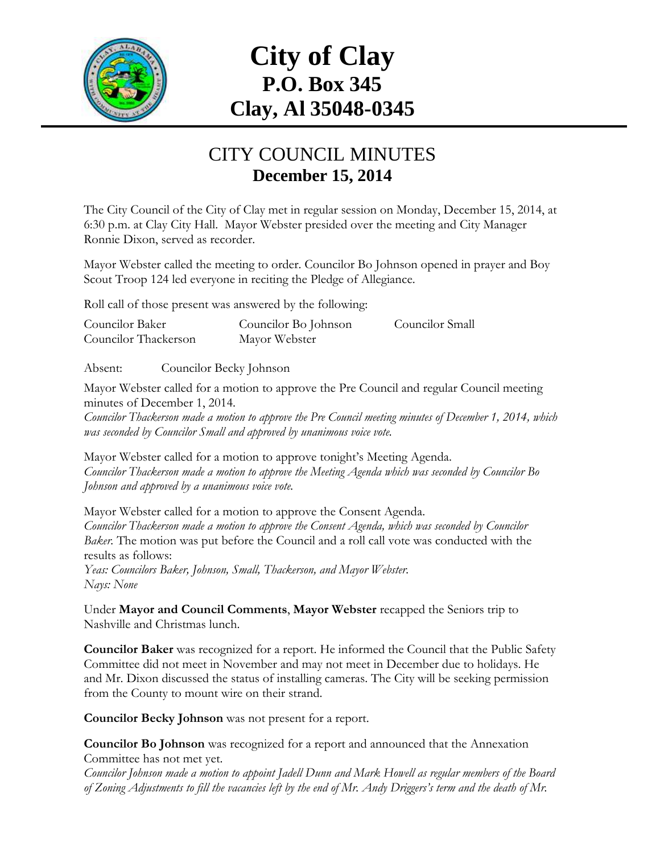

# **City of Clay P.O. Box 345 Clay, Al 35048-0345**

#### CITY COUNCIL MINUTES **December 15, 2014**

The City Council of the City of Clay met in regular session on Monday, December 15, 2014, at 6:30 p.m. at Clay City Hall. Mayor Webster presided over the meeting and City Manager Ronnie Dixon, served as recorder.

Mayor Webster called the meeting to order. Councilor Bo Johnson opened in prayer and Boy Scout Troop 124 led everyone in reciting the Pledge of Allegiance.

Roll call of those present was answered by the following:

| Councilor Baker      | Councilor Bo Johnson | Councilor Small |
|----------------------|----------------------|-----------------|
| Councilor Thackerson | Mayor Webster        |                 |

Absent: Councilor Becky Johnson

Mayor Webster called for a motion to approve the Pre Council and regular Council meeting minutes of December 1, 2014.

*Councilor Thackerson made a motion to approve the Pre Council meeting minutes of December 1, 2014, which was seconded by Councilor Small and approved by unanimous voice vote.*

Mayor Webster called for a motion to approve tonight's Meeting Agenda. *Councilor Thackerson made a motion to approve the Meeting Agenda which was seconded by Councilor Bo Johnson and approved by a unanimous voice vote.*

Mayor Webster called for a motion to approve the Consent Agenda. *Councilor Thackerson made a motion to approve the Consent Agenda, which was seconded by Councilor Baker.* The motion was put before the Council and a roll call vote was conducted with the results as follows:

*Yeas: Councilors Baker, Johnson, Small, Thackerson, and Mayor Webster. Nays: None*

Under **Mayor and Council Comments**, **Mayor Webster** recapped the Seniors trip to Nashville and Christmas lunch.

**Councilor Baker** was recognized for a report. He informed the Council that the Public Safety Committee did not meet in November and may not meet in December due to holidays. He and Mr. Dixon discussed the status of installing cameras. The City will be seeking permission from the County to mount wire on their strand.

**Councilor Becky Johnson** was not present for a report.

**Councilor Bo Johnson** was recognized for a report and announced that the Annexation Committee has not met yet.

*Councilor Johnson made a motion to appoint Jadell Dunn and Mark Howell as regular members of the Board of Zoning Adjustments to fill the vacancies left by the end of Mr. Andy Driggers's term and the death of Mr.*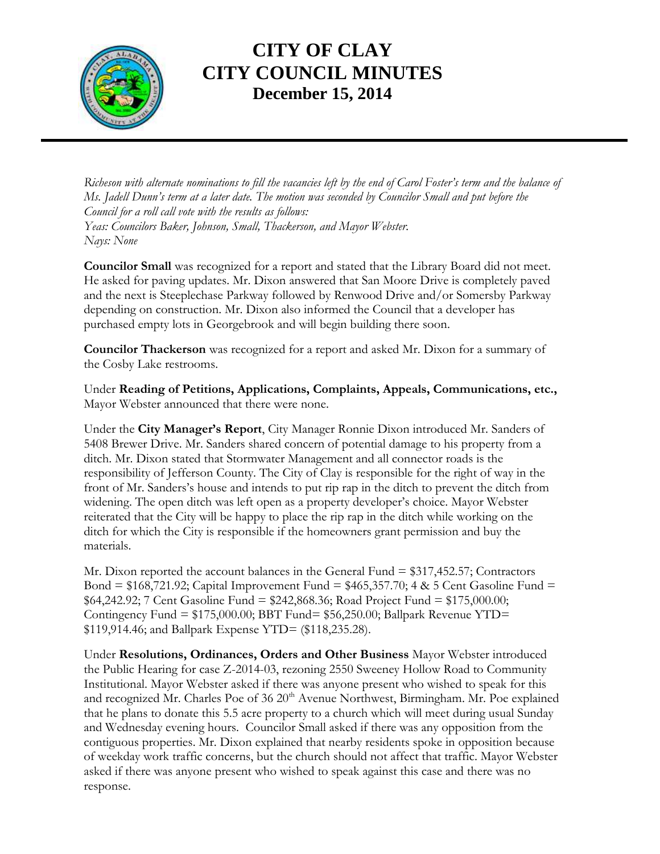

*Richeson with alternate nominations to fill the vacancies left by the end of Carol Foster's term and the balance of Ms. Jadell Dunn's term at a later date. The motion was seconded by Councilor Small and put before the Council for a roll call vote with the results as follows: Yeas: Councilors Baker, Johnson, Small, Thackerson, and Mayor Webster. Nays: None*

**Councilor Small** was recognized for a report and stated that the Library Board did not meet. He asked for paving updates. Mr. Dixon answered that San Moore Drive is completely paved and the next is Steeplechase Parkway followed by Renwood Drive and/or Somersby Parkway depending on construction. Mr. Dixon also informed the Council that a developer has purchased empty lots in Georgebrook and will begin building there soon.

**Councilor Thackerson** was recognized for a report and asked Mr. Dixon for a summary of the Cosby Lake restrooms.

Under **Reading of Petitions, Applications, Complaints, Appeals, Communications, etc.,** Mayor Webster announced that there were none.

Under the **City Manager's Report**, City Manager Ronnie Dixon introduced Mr. Sanders of 5408 Brewer Drive. Mr. Sanders shared concern of potential damage to his property from a ditch. Mr. Dixon stated that Stormwater Management and all connector roads is the responsibility of Jefferson County. The City of Clay is responsible for the right of way in the front of Mr. Sanders's house and intends to put rip rap in the ditch to prevent the ditch from widening. The open ditch was left open as a property developer's choice. Mayor Webster reiterated that the City will be happy to place the rip rap in the ditch while working on the ditch for which the City is responsible if the homeowners grant permission and buy the materials.

Mr. Dixon reported the account balances in the General Fund = \$317,452.57; Contractors Bond = \$168,721.92; Capital Improvement Fund = \$465,357.70; 4 & 5 Cent Gasoline Fund = \$64,242.92; 7 Cent Gasoline Fund = \$242,868.36; Road Project Fund = \$175,000.00; Contingency Fund  $= $175,000.00; BBT$  Fund $= $56,250.00; Ball$  park Revenue YTD $=$ \$119,914.46; and Ballpark Expense YTD= (\$118,235.28).

Under **Resolutions, Ordinances, Orders and Other Business** Mayor Webster introduced the Public Hearing for case Z-2014-03, rezoning 2550 Sweeney Hollow Road to Community Institutional. Mayor Webster asked if there was anyone present who wished to speak for this and recognized Mr. Charles Poe of  $36\,20<sup>th</sup>$  Avenue Northwest, Birmingham. Mr. Poe explained that he plans to donate this 5.5 acre property to a church which will meet during usual Sunday and Wednesday evening hours. Councilor Small asked if there was any opposition from the contiguous properties. Mr. Dixon explained that nearby residents spoke in opposition because of weekday work traffic concerns, but the church should not affect that traffic. Mayor Webster asked if there was anyone present who wished to speak against this case and there was no response.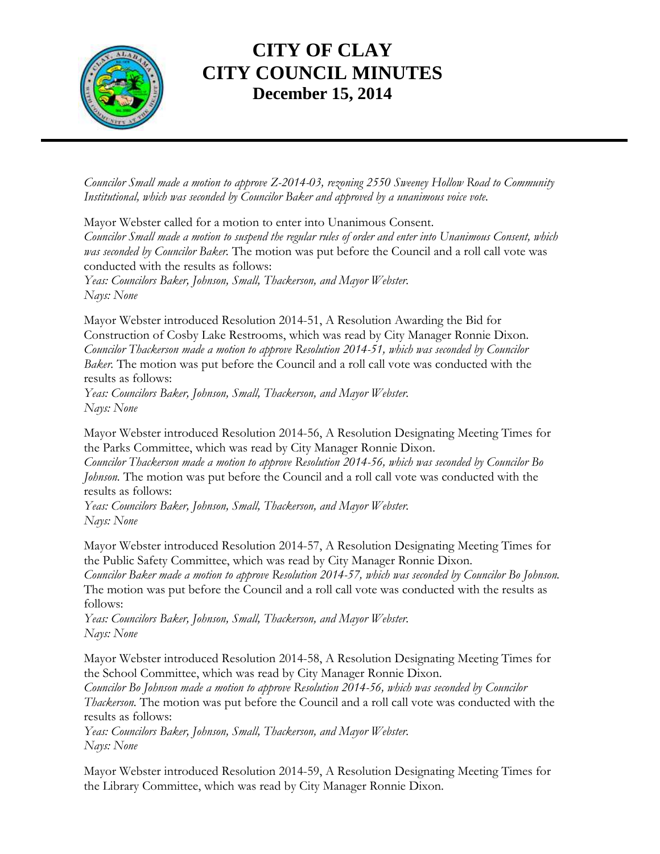

*Councilor Small made a motion to approve Z-2014-03, rezoning 2550 Sweeney Hollow Road to Community Institutional, which was seconded by Councilor Baker and approved by a unanimous voice vote.*

Mayor Webster called for a motion to enter into Unanimous Consent. *Councilor Small made a motion to suspend the regular rules of order and enter into Unanimous Consent, which was seconded by Councilor Baker.* The motion was put before the Council and a roll call vote was conducted with the results as follows:

*Yeas: Councilors Baker, Johnson, Small, Thackerson, and Mayor Webster. Nays: None*

Mayor Webster introduced Resolution 2014-51, A Resolution Awarding the Bid for Construction of Cosby Lake Restrooms, which was read by City Manager Ronnie Dixon. *Councilor Thackerson made a motion to approve Resolution 2014-51, which was seconded by Councilor Baker.* The motion was put before the Council and a roll call vote was conducted with the results as follows:

*Yeas: Councilors Baker, Johnson, Small, Thackerson, and Mayor Webster. Nays: None*

Mayor Webster introduced Resolution 2014-56, A Resolution Designating Meeting Times for the Parks Committee, which was read by City Manager Ronnie Dixon.

*Councilor Thackerson made a motion to approve Resolution 2014-56, which was seconded by Councilor Bo Johnson.* The motion was put before the Council and a roll call vote was conducted with the results as follows:

*Yeas: Councilors Baker, Johnson, Small, Thackerson, and Mayor Webster. Nays: None*

Mayor Webster introduced Resolution 2014-57, A Resolution Designating Meeting Times for the Public Safety Committee, which was read by City Manager Ronnie Dixon.

*Councilor Baker made a motion to approve Resolution 2014-57, which was seconded by Councilor Bo Johnson.*  The motion was put before the Council and a roll call vote was conducted with the results as follows:

*Yeas: Councilors Baker, Johnson, Small, Thackerson, and Mayor Webster. Nays: None*

Mayor Webster introduced Resolution 2014-58, A Resolution Designating Meeting Times for the School Committee, which was read by City Manager Ronnie Dixon. *Councilor Bo Johnson made a motion to approve Resolution 2014-56, which was seconded by Councilor* 

*Thackerson.* The motion was put before the Council and a roll call vote was conducted with the results as follows:

*Yeas: Councilors Baker, Johnson, Small, Thackerson, and Mayor Webster. Nays: None*

Mayor Webster introduced Resolution 2014-59, A Resolution Designating Meeting Times for the Library Committee, which was read by City Manager Ronnie Dixon.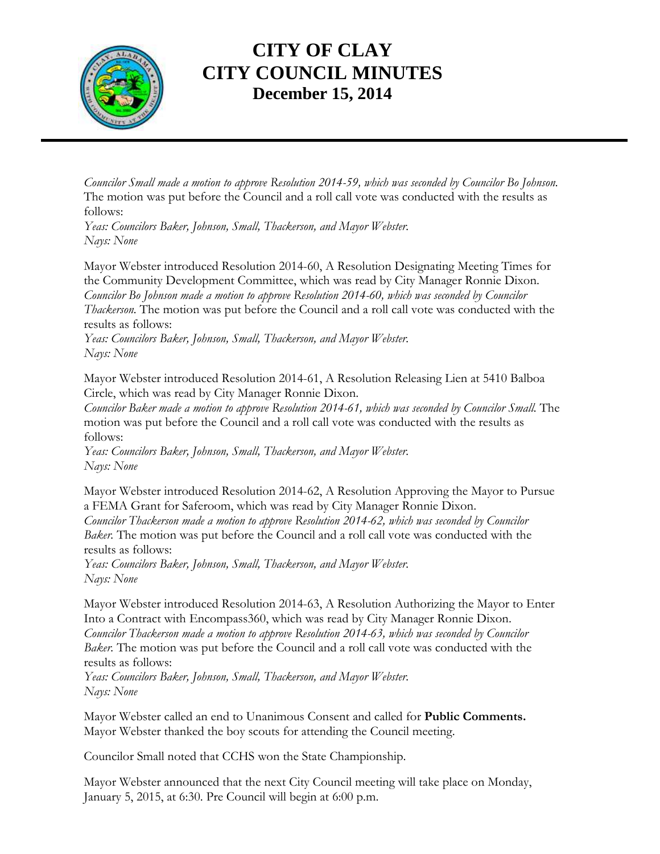

*Councilor Small made a motion to approve Resolution 2014-59, which was seconded by Councilor Bo Johnson.*  The motion was put before the Council and a roll call vote was conducted with the results as follows:

*Yeas: Councilors Baker, Johnson, Small, Thackerson, and Mayor Webster. Nays: None*

Mayor Webster introduced Resolution 2014-60, A Resolution Designating Meeting Times for the Community Development Committee, which was read by City Manager Ronnie Dixon. *Councilor Bo Johnson made a motion to approve Resolution 2014-60, which was seconded by Councilor Thackerson.* The motion was put before the Council and a roll call vote was conducted with the results as follows:

*Yeas: Councilors Baker, Johnson, Small, Thackerson, and Mayor Webster. Nays: None*

Mayor Webster introduced Resolution 2014-61, A Resolution Releasing Lien at 5410 Balboa Circle, which was read by City Manager Ronnie Dixon.

*Councilor Baker made a motion to approve Resolution 2014-61, which was seconded by Councilor Small.* The motion was put before the Council and a roll call vote was conducted with the results as follows:

*Yeas: Councilors Baker, Johnson, Small, Thackerson, and Mayor Webster. Nays: None*

Mayor Webster introduced Resolution 2014-62, A Resolution Approving the Mayor to Pursue a FEMA Grant for Saferoom, which was read by City Manager Ronnie Dixon. *Councilor Thackerson made a motion to approve Resolution 2014-62, which was seconded by Councilor Baker.* The motion was put before the Council and a roll call vote was conducted with the results as follows:

*Yeas: Councilors Baker, Johnson, Small, Thackerson, and Mayor Webster. Nays: None*

Mayor Webster introduced Resolution 2014-63, A Resolution Authorizing the Mayor to Enter Into a Contract with Encompass360, which was read by City Manager Ronnie Dixon. *Councilor Thackerson made a motion to approve Resolution 2014-63, which was seconded by Councilor Baker.* The motion was put before the Council and a roll call vote was conducted with the results as follows:

*Yeas: Councilors Baker, Johnson, Small, Thackerson, and Mayor Webster. Nays: None*

Mayor Webster called an end to Unanimous Consent and called for **Public Comments.**  Mayor Webster thanked the boy scouts for attending the Council meeting.

Councilor Small noted that CCHS won the State Championship.

Mayor Webster announced that the next City Council meeting will take place on Monday, January 5, 2015, at 6:30. Pre Council will begin at 6:00 p.m.